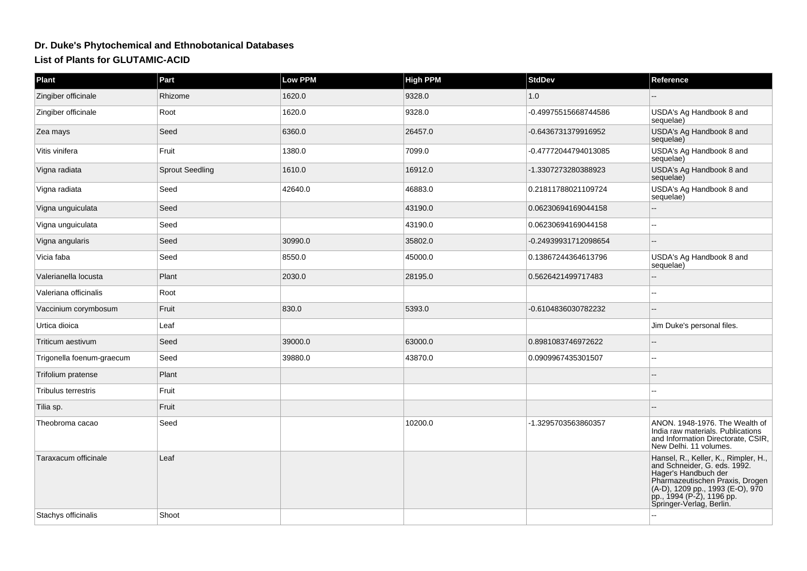## **Dr. Duke's Phytochemical and Ethnobotanical DatabasesList of Plants for GLUTAMIC-ACID**

| Plant                     | Part                   | <b>Low PPM</b> | <b>High PPM</b> | <b>StdDev</b>        | Reference                                                                                                                                                                                                                    |
|---------------------------|------------------------|----------------|-----------------|----------------------|------------------------------------------------------------------------------------------------------------------------------------------------------------------------------------------------------------------------------|
| Zingiber officinale       | Rhizome                | 1620.0         | 9328.0          | 1.0                  |                                                                                                                                                                                                                              |
| Zingiber officinale       | Root                   | 1620.0         | 9328.0          | -0.49975515668744586 | USDA's Ag Handbook 8 and<br>sequelae)                                                                                                                                                                                        |
| Zea mays                  | Seed                   | 6360.0         | 26457.0         | -0.6436731379916952  | USDA's Ag Handbook 8 and<br>sequelae)                                                                                                                                                                                        |
| Vitis vinifera            | Fruit                  | 1380.0         | 7099.0          | -0.47772044794013085 | USDA's Ag Handbook 8 and<br>sequelae)                                                                                                                                                                                        |
| Vigna radiata             | <b>Sprout Seedling</b> | 1610.0         | 16912.0         | -1.3307273280388923  | USDA's Ag Handbook 8 and<br>sequelae)                                                                                                                                                                                        |
| Vigna radiata             | Seed                   | 42640.0        | 46883.0         | 0.21811788021109724  | USDA's Ag Handbook 8 and<br>sequelae)                                                                                                                                                                                        |
| Vigna unguiculata         | Seed                   |                | 43190.0         | 0.06230694169044158  |                                                                                                                                                                                                                              |
| Vigna unguiculata         | Seed                   |                | 43190.0         | 0.06230694169044158  |                                                                                                                                                                                                                              |
| Vigna angularis           | Seed                   | 30990.0        | 35802.0         | -0.24939931712098654 |                                                                                                                                                                                                                              |
| Vicia faba                | Seed                   | 8550.0         | 45000.0         | 0.13867244364613796  | USDA's Ag Handbook 8 and<br>sequelae)                                                                                                                                                                                        |
| Valerianella locusta      | Plant                  | 2030.0         | 28195.0         | 0.5626421499717483   |                                                                                                                                                                                                                              |
| Valeriana officinalis     | Root                   |                |                 |                      |                                                                                                                                                                                                                              |
| Vaccinium corymbosum      | Fruit                  | 830.0          | 5393.0          | -0.6104836030782232  |                                                                                                                                                                                                                              |
| Urtica dioica             | Leaf                   |                |                 |                      | Jim Duke's personal files.                                                                                                                                                                                                   |
| Triticum aestivum         | Seed                   | 39000.0        | 63000.0         | 0.8981083746972622   |                                                                                                                                                                                                                              |
| Trigonella foenum-graecum | Seed                   | 39880.0        | 43870.0         | 0.0909967435301507   |                                                                                                                                                                                                                              |
| Trifolium pratense        | Plant                  |                |                 |                      |                                                                                                                                                                                                                              |
| Tribulus terrestris       | Fruit                  |                |                 |                      |                                                                                                                                                                                                                              |
| Tilia sp.                 | Fruit                  |                |                 |                      |                                                                                                                                                                                                                              |
| Theobroma cacao           | Seed                   |                | 10200.0         | -1.3295703563860357  | ANON. 1948-1976. The Wealth of<br>India raw materials. Publications<br>and Information Directorate, CSIR,<br>New Delhi. 11 volumes.                                                                                          |
| Taraxacum officinale      | Leaf                   |                |                 |                      | Hansel, R., Keller, K., Rimpler, H.,<br>and Schneider, G. eds. 1992.<br>Hager's Handbuch der<br>Pharmazeutischen Praxis, Drogen<br>(A-D), 1209 pp., 1993 (E-O), 970<br>pp., 1994 (P-Z), 1196 pp.<br>Springer-Verlag, Berlin. |
| Stachys officinalis       | Shoot                  |                |                 |                      |                                                                                                                                                                                                                              |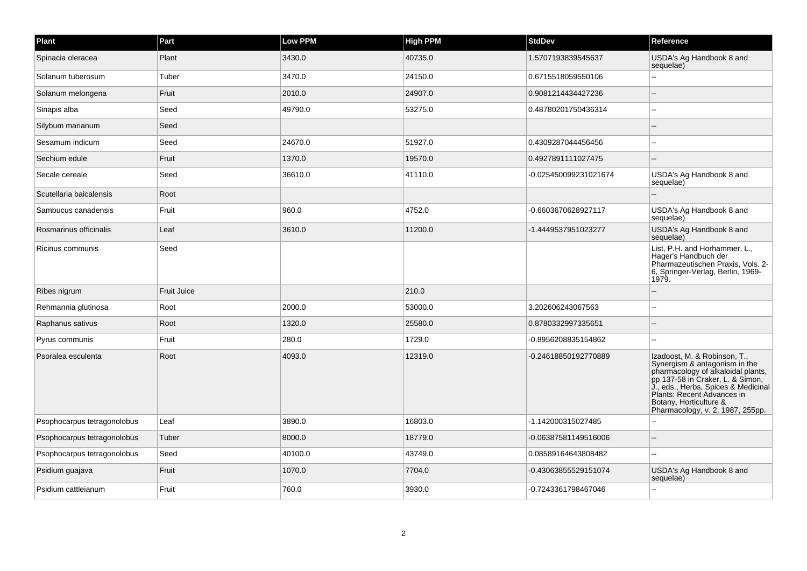| Plant                       | Part               | Low PPM | <b>High PPM</b> | <b>StdDev</b>         | Reference                                                                                                                                                                                                                                                                  |
|-----------------------------|--------------------|---------|-----------------|-----------------------|----------------------------------------------------------------------------------------------------------------------------------------------------------------------------------------------------------------------------------------------------------------------------|
| Spinacia oleracea           | Plant              | 3430.0  | 40735.0         | 1.5707193839545637    | USDA's Ag Handbook 8 and<br>sequelae)                                                                                                                                                                                                                                      |
| Solanum tuberosum           | Tuber              | 3470.0  | 24150.0         | 0.6715518059550106    |                                                                                                                                                                                                                                                                            |
| Solanum melongena           | Fruit              | 2010.0  | 24907.0         | 0.9081214434427236    |                                                                                                                                                                                                                                                                            |
| Sinapis alba                | Seed               | 49790.0 | 53275.0         | 0.48780201750436314   | $\overline{a}$                                                                                                                                                                                                                                                             |
| Silybum marianum            | Seed               |         |                 |                       |                                                                                                                                                                                                                                                                            |
| Sesamum indicum             | Seed               | 24670.0 | 51927.0         | 0.4309287044456456    | $\overline{a}$                                                                                                                                                                                                                                                             |
| Sechium edule               | Fruit              | 1370.0  | 19570.0         | 0.4927891111027475    |                                                                                                                                                                                                                                                                            |
| Secale cereale              | Seed               | 36610.0 | 41110.0         | -0.025450099231021674 | USDA's Ag Handbook 8 and<br>sequelae)                                                                                                                                                                                                                                      |
| Scutellaria baicalensis     | Root               |         |                 |                       |                                                                                                                                                                                                                                                                            |
| Sambucus canadensis         | Fruit              | 960.0   | 4752.0          | -0.6603670628927117   | USDA's Ag Handbook 8 and<br>sequelae)                                                                                                                                                                                                                                      |
| Rosmarinus officinalis      | Leaf               | 3610.0  | 11200.0         | -1.4449537951023277   | USDA's Ag Handbook 8 and<br>sequelae)                                                                                                                                                                                                                                      |
| Ricinus communis            | Seed               |         |                 |                       | List, P.H. and Horhammer, L.,<br>Hager's Handbuch der<br>Pharmazeutischen Praxis, Vols. 2-<br>6, Springer-Verlag, Berlin, 1969-<br>1979.                                                                                                                                   |
| Ribes nigrum                | <b>Fruit Juice</b> |         | 210.0           |                       |                                                                                                                                                                                                                                                                            |
| Rehmannia glutinosa         | Root               | 2000.0  | 53000.0         | 3.202606243067563     |                                                                                                                                                                                                                                                                            |
| Raphanus sativus            | Root               | 1320.0  | 25580.0         | 0.8780332997335651    |                                                                                                                                                                                                                                                                            |
| Pyrus communis              | Fruit              | 280.0   | 1729.0          | -0.8956208835154862   | $\sim$                                                                                                                                                                                                                                                                     |
| Psoralea esculenta          | Root               | 4093.0  | 12319.0         | -0.24618850192770889  | Izadoost, M. & Robinson, T.,<br>Synergism & antagonism in the<br>pharmacology of alkaloidal plants,<br>pp 137-58 in Craker, L. & Simon,<br>J., eds., Herbs, Spices & Medicinal<br>Plants: Recent Advances in<br>Botany, Horticulture &<br>Pharmacology, v. 2, 1987, 255pp. |
| Psophocarpus tetragonolobus | Leaf               | 3890.0  | 16803.0         | -1.142000315027485    |                                                                                                                                                                                                                                                                            |
| Psophocarpus tetragonolobus | Tuber              | 8000.0  | 18779.0         | -0.06387581149516006  |                                                                                                                                                                                                                                                                            |
| Psophocarpus tetragonolobus | Seed               | 40100.0 | 43749.0         | 0.08589164643808482   |                                                                                                                                                                                                                                                                            |
| Psidium guajava             | Fruit              | 1070.0  | 7704.0          | -0.43063855529151074  | USDA's Ag Handbook 8 and<br>sequelae)                                                                                                                                                                                                                                      |
| Psidium cattleianum         | Fruit              | 760.0   | 3930.0          | -0.7243361798467046   |                                                                                                                                                                                                                                                                            |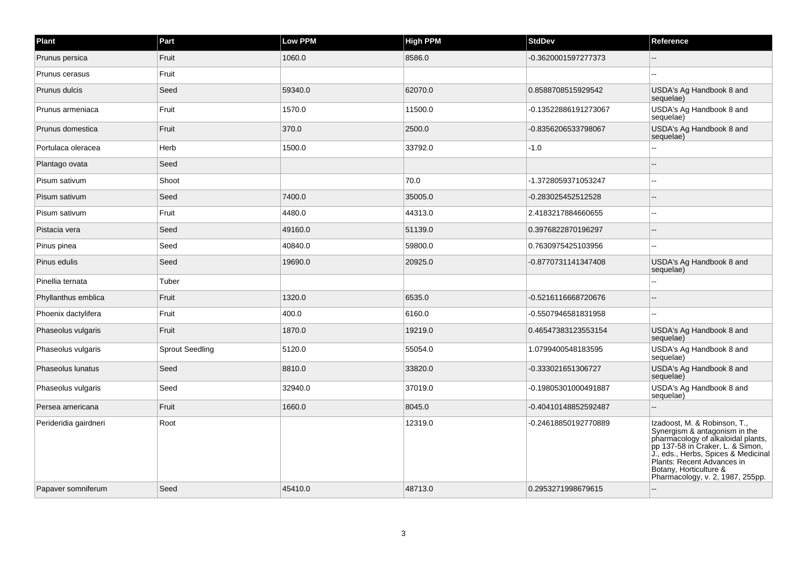| Plant                 | Part                   | <b>Low PPM</b> | <b>High PPM</b> | <b>StdDev</b>        | Reference                                                                                                                                                                                                                                                                  |
|-----------------------|------------------------|----------------|-----------------|----------------------|----------------------------------------------------------------------------------------------------------------------------------------------------------------------------------------------------------------------------------------------------------------------------|
| Prunus persica        | Fruit                  | 1060.0         | 8586.0          | -0.3620001597277373  |                                                                                                                                                                                                                                                                            |
| Prunus cerasus        | Fruit                  |                |                 |                      | $\sim$                                                                                                                                                                                                                                                                     |
| Prunus dulcis         | Seed                   | 59340.0        | 62070.0         | 0.8588708515929542   | USDA's Ag Handbook 8 and<br>sequelae)                                                                                                                                                                                                                                      |
| Prunus armeniaca      | Fruit                  | 1570.0         | 11500.0         | -0.13522886191273067 | USDA's Ag Handbook 8 and<br>sequelae)                                                                                                                                                                                                                                      |
| Prunus domestica      | Fruit                  | 370.0          | 2500.0          | -0.8356206533798067  | USDA's Ag Handbook 8 and<br>sequelae)                                                                                                                                                                                                                                      |
| Portulaca oleracea    | Herb                   | 1500.0         | 33792.0         | $-1.0$               |                                                                                                                                                                                                                                                                            |
| Plantago ovata        | Seed                   |                |                 |                      |                                                                                                                                                                                                                                                                            |
| Pisum sativum         | Shoot                  |                | 70.0            | -1.3728059371053247  | $\sim$                                                                                                                                                                                                                                                                     |
| Pisum sativum         | Seed                   | 7400.0         | 35005.0         | -0.283025452512528   |                                                                                                                                                                                                                                                                            |
| Pisum sativum         | Fruit                  | 4480.0         | 44313.0         | 2.4183217884660655   |                                                                                                                                                                                                                                                                            |
| Pistacia vera         | Seed                   | 49160.0        | 51139.0         | 0.3976822870196297   |                                                                                                                                                                                                                                                                            |
| Pinus pinea           | Seed                   | 40840.0        | 59800.0         | 0.7630975425103956   | ۔۔                                                                                                                                                                                                                                                                         |
| Pinus edulis          | Seed                   | 19690.0        | 20925.0         | -0.8770731141347408  | USDA's Ag Handbook 8 and<br>sequelae)                                                                                                                                                                                                                                      |
| Pinellia ternata      | Tuber                  |                |                 |                      | $\overline{a}$                                                                                                                                                                                                                                                             |
| Phyllanthus emblica   | Fruit                  | 1320.0         | 6535.0          | -0.5216116668720676  |                                                                                                                                                                                                                                                                            |
| Phoenix dactylifera   | Fruit                  | 400.0          | 6160.0          | -0.5507946581831958  | ۵.                                                                                                                                                                                                                                                                         |
| Phaseolus vulgaris    | Fruit                  | 1870.0         | 19219.0         | 0.46547383123553154  | USDA's Ag Handbook 8 and<br>sequelae)                                                                                                                                                                                                                                      |
| Phaseolus vulgaris    | <b>Sprout Seedling</b> | 5120.0         | 55054.0         | 1.0799400548183595   | USDA's Ag Handbook 8 and<br>sequelae)                                                                                                                                                                                                                                      |
| Phaseolus lunatus     | Seed                   | 8810.0         | 33820.0         | -0.333021651306727   | USDA's Ag Handbook 8 and<br>sequelae)                                                                                                                                                                                                                                      |
| Phaseolus vulgaris    | Seed                   | 32940.0        | 37019.0         | -0.19805301000491887 | USDA's Ag Handbook 8 and<br>sequelae)                                                                                                                                                                                                                                      |
| Persea americana      | Fruit                  | 1660.0         | 8045.0          | -0.40410148852592487 | $\sim$                                                                                                                                                                                                                                                                     |
| Perideridia gairdneri | Root                   |                | 12319.0         | -0.24618850192770889 | Izadoost, M. & Robinson, T.,<br>Synergism & antagonism in the<br>pharmacology of alkaloidal plants,<br>pp 137-58 in Craker, L. & Simon,<br>J., eds., Herbs, Spices & Medicinal<br>Plants: Recent Advances in<br>Botany, Horticulture &<br>Pharmacology, v. 2, 1987, 255pp. |
| Papaver somniferum    | Seed                   | 45410.0        | 48713.0         | 0.2953271998679615   |                                                                                                                                                                                                                                                                            |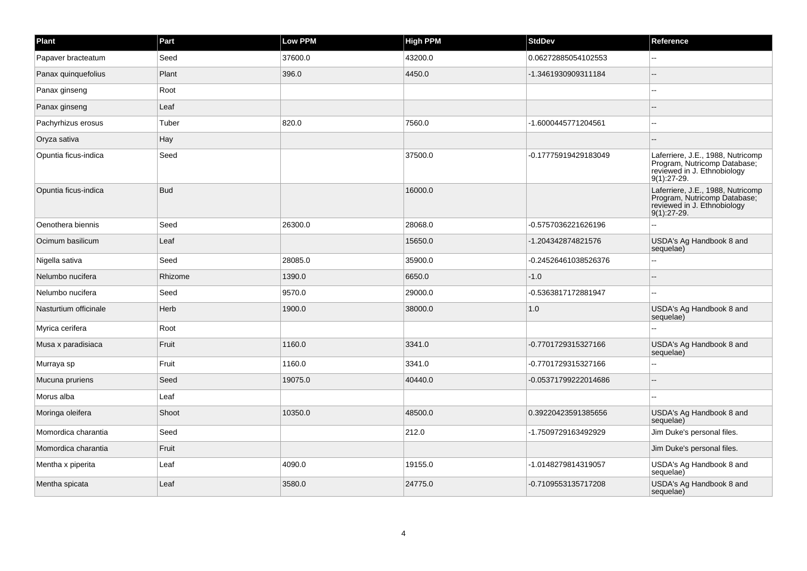| Plant                 | Part       | <b>Low PPM</b> | <b>High PPM</b> | <b>StdDev</b>        | Reference                                                                                                         |
|-----------------------|------------|----------------|-----------------|----------------------|-------------------------------------------------------------------------------------------------------------------|
| Papaver bracteatum    | Seed       | 37600.0        | 43200.0         | 0.06272885054102553  |                                                                                                                   |
| Panax quinquefolius   | Plant      | 396.0          | 4450.0          | -1.3461930909311184  |                                                                                                                   |
| Panax ginseng         | Root       |                |                 |                      |                                                                                                                   |
| Panax ginseng         | Leaf       |                |                 |                      |                                                                                                                   |
| Pachyrhizus erosus    | Tuber      | 820.0          | 7560.0          | -1.6000445771204561  |                                                                                                                   |
| Oryza sativa          | Hay        |                |                 |                      |                                                                                                                   |
| Opuntia ficus-indica  | Seed       |                | 37500.0         | -0.17775919429183049 | Laferriere, J.E., 1988, Nutricomp<br>Program, Nutricomp Database;<br>reviewed in J. Ethnobiology<br>$9(1):27-29.$ |
| Opuntia ficus-indica  | <b>Bud</b> |                | 16000.0         |                      | Laferriere, J.E., 1988, Nutricomp<br>Program, Nutricomp Database;<br>reviewed in J. Ethnobiology<br>$9(1):27-29.$ |
| Oenothera biennis     | Seed       | 26300.0        | 28068.0         | -0.5757036221626196  |                                                                                                                   |
| Ocimum basilicum      | Leaf       |                | 15650.0         | -1.204342874821576   | USDA's Ag Handbook 8 and<br>sequelae)                                                                             |
| Nigella sativa        | Seed       | 28085.0        | 35900.0         | -0.24526461038526376 |                                                                                                                   |
| Nelumbo nucifera      | Rhizome    | 1390.0         | 6650.0          | $-1.0$               |                                                                                                                   |
| Nelumbo nucifera      | Seed       | 9570.0         | 29000.0         | -0.5363817172881947  |                                                                                                                   |
| Nasturtium officinale | Herb       | 1900.0         | 38000.0         | 1.0                  | USDA's Ag Handbook 8 and<br>sequelae)                                                                             |
| Myrica cerifera       | Root       |                |                 |                      |                                                                                                                   |
| Musa x paradisiaca    | Fruit      | 1160.0         | 3341.0          | -0.7701729315327166  | USDA's Ag Handbook 8 and<br>sequelae)                                                                             |
| Murraya sp            | Fruit      | 1160.0         | 3341.0          | -0.7701729315327166  |                                                                                                                   |
| Mucuna pruriens       | Seed       | 19075.0        | 40440.0         | -0.05371799222014686 |                                                                                                                   |
| Morus alba            | Leaf       |                |                 |                      |                                                                                                                   |
| Moringa oleifera      | Shoot      | 10350.0        | 48500.0         | 0.39220423591385656  | USDA's Ag Handbook 8 and<br>sequelae)                                                                             |
| Momordica charantia   | Seed       |                | 212.0           | -1.7509729163492929  | Jim Duke's personal files.                                                                                        |
| Momordica charantia   | Fruit      |                |                 |                      | Jim Duke's personal files.                                                                                        |
| Mentha x piperita     | Leaf       | 4090.0         | 19155.0         | -1.0148279814319057  | USDA's Ag Handbook 8 and<br>sequelae)                                                                             |
| Mentha spicata        | Leaf       | 3580.0         | 24775.0         | -0.7109553135717208  | USDA's Ag Handbook 8 and<br>sequelae)                                                                             |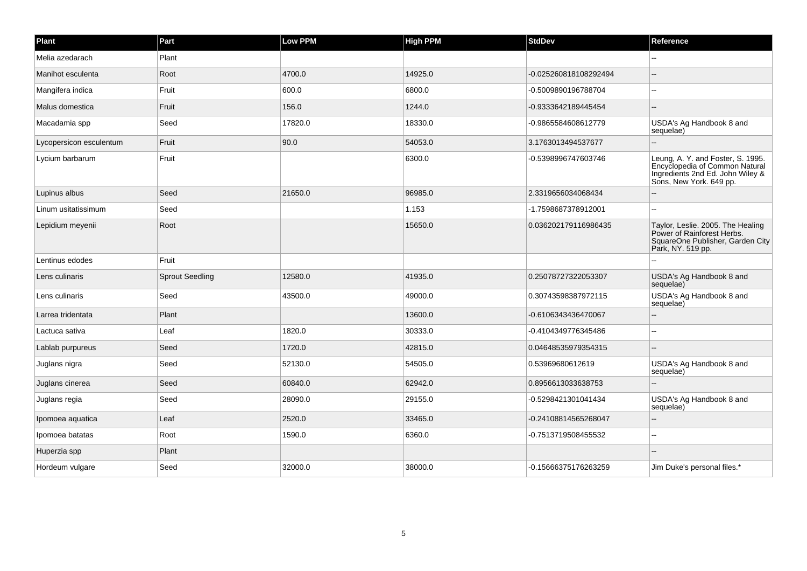| Plant                   | Part                   | <b>Low PPM</b> | <b>High PPM</b> | <b>StdDev</b>         | Reference                                                                                                                          |
|-------------------------|------------------------|----------------|-----------------|-----------------------|------------------------------------------------------------------------------------------------------------------------------------|
| Melia azedarach         | Plant                  |                |                 |                       |                                                                                                                                    |
| Manihot esculenta       | Root                   | 4700.0         | 14925.0         | -0.025260818108292494 |                                                                                                                                    |
| Mangifera indica        | Fruit                  | 600.0          | 6800.0          | -0.5009890196788704   |                                                                                                                                    |
| Malus domestica         | Fruit                  | 156.0          | 1244.0          | -0.9333642189445454   |                                                                                                                                    |
| Macadamia spp           | Seed                   | 17820.0        | 18330.0         | -0.9865584608612779   | USDA's Ag Handbook 8 and<br>sequelae)                                                                                              |
| Lycopersicon esculentum | Fruit                  | 90.0           | 54053.0         | 3.1763013494537677    |                                                                                                                                    |
| Lycium barbarum         | Fruit                  |                | 6300.0          | -0.5398996747603746   | Leung, A. Y. and Foster, S. 1995.<br>Encyclopedia of Common Natural<br>Ingredients 2nd Ed. John Wiley &<br>Sons, New York. 649 pp. |
| Lupinus albus           | Seed                   | 21650.0        | 96985.0         | 2.3319656034068434    |                                                                                                                                    |
| Linum usitatissimum     | Seed                   |                | 1.153           | -1.7598687378912001   |                                                                                                                                    |
| Lepidium meyenii        | Root                   |                | 15650.0         | 0.036202179116986435  | Taylor, Leslie. 2005. The Healing<br>Power of Rainforest Herbs.<br>SquareOne Publisher, Garden City<br>Park, NY. 519 pp.           |
| Lentinus edodes         | Fruit                  |                |                 |                       | --                                                                                                                                 |
| Lens culinaris          | <b>Sprout Seedling</b> | 12580.0        | 41935.0         | 0.25078727322053307   | USDA's Ag Handbook 8 and<br>sequelae)                                                                                              |
| Lens culinaris          | Seed                   | 43500.0        | 49000.0         | 0.30743598387972115   | USDA's Ag Handbook 8 and<br>sequelae)                                                                                              |
| Larrea tridentata       | Plant                  |                | 13600.0         | -0.6106343436470067   |                                                                                                                                    |
| Lactuca sativa          | Leaf                   | 1820.0         | 30333.0         | -0.4104349776345486   | --                                                                                                                                 |
| Lablab purpureus        | Seed                   | 1720.0         | 42815.0         | 0.04648535979354315   |                                                                                                                                    |
| Juglans nigra           | Seed                   | 52130.0        | 54505.0         | 0.53969680612619      | USDA's Ag Handbook 8 and<br>sequelae)                                                                                              |
| Juglans cinerea         | Seed                   | 60840.0        | 62942.0         | 0.8956613033638753    |                                                                                                                                    |
| Juglans regia           | Seed                   | 28090.0        | 29155.0         | -0.5298421301041434   | USDA's Ag Handbook 8 and<br>sequelae)                                                                                              |
| Ipomoea aquatica        | Leaf                   | 2520.0         | 33465.0         | -0.24108814565268047  |                                                                                                                                    |
| Ipomoea batatas         | Root                   | 1590.0         | 6360.0          | -0.7513719508455532   | $\overline{a}$                                                                                                                     |
| Huperzia spp            | Plant                  |                |                 |                       |                                                                                                                                    |
| Hordeum vulgare         | Seed                   | 32000.0        | 38000.0         | -0.15666375176263259  | Jim Duke's personal files.*                                                                                                        |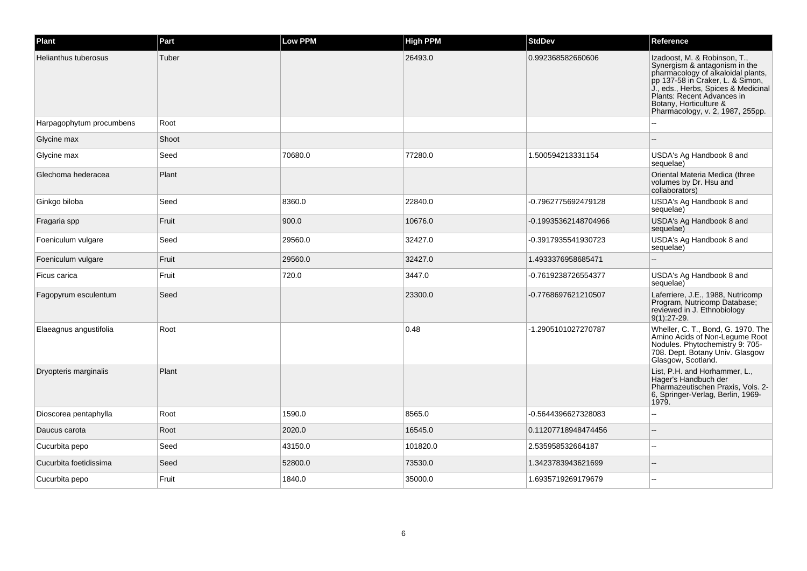| Plant                    | Part  | <b>Low PPM</b> | <b>High PPM</b> | <b>StdDev</b>        | Reference                                                                                                                                                                                                                                                                  |
|--------------------------|-------|----------------|-----------------|----------------------|----------------------------------------------------------------------------------------------------------------------------------------------------------------------------------------------------------------------------------------------------------------------------|
| Helianthus tuberosus     | Tuber |                | 26493.0         | 0.992368582660606    | Izadoost, M. & Robinson, T.,<br>Synergism & antagonism in the<br>pharmacology of alkaloidal plants,<br>pp 137-58 in Craker, L. & Simon,<br>J., eds., Herbs, Spices & Medicinal<br>Plants: Recent Advances in<br>Botany, Horticulture &<br>Pharmacology, v. 2, 1987, 255pp. |
| Harpagophytum procumbens | Root  |                |                 |                      |                                                                                                                                                                                                                                                                            |
| Glycine max              | Shoot |                |                 |                      |                                                                                                                                                                                                                                                                            |
| Glycine max              | Seed  | 70680.0        | 77280.0         | 1.500594213331154    | USDA's Ag Handbook 8 and<br>sequelae)                                                                                                                                                                                                                                      |
| Glechoma hederacea       | Plant |                |                 |                      | Oriental Materia Medica (three<br>volumes by Dr. Hsu and<br>collaborators)                                                                                                                                                                                                 |
| Ginkgo biloba            | Seed  | 8360.0         | 22840.0         | -0.7962775692479128  | USDA's Ag Handbook 8 and<br>sequelae)                                                                                                                                                                                                                                      |
| Fragaria spp             | Fruit | 900.0          | 10676.0         | -0.19935362148704966 | USDA's Ag Handbook 8 and<br>sequelae)                                                                                                                                                                                                                                      |
| Foeniculum vulgare       | Seed  | 29560.0        | 32427.0         | -0.3917935541930723  | USDA's Ag Handbook 8 and<br>sequelae)                                                                                                                                                                                                                                      |
| Foeniculum vulgare       | Fruit | 29560.0        | 32427.0         | 1.4933376958685471   |                                                                                                                                                                                                                                                                            |
| Ficus carica             | Fruit | 720.0          | 3447.0          | -0.7619238726554377  | USDA's Ag Handbook 8 and<br>sequelae)                                                                                                                                                                                                                                      |
| Fagopyrum esculentum     | Seed  |                | 23300.0         | -0.7768697621210507  | Laferriere, J.E., 1988, Nutricomp<br>Program, Nutricomp Database;<br>reviewed in J. Ethnobiology<br>$9(1):27-29.$                                                                                                                                                          |
| Elaeagnus angustifolia   | Root  |                | 0.48            | -1.2905101027270787  | Wheller, C. T., Bond, G. 1970. The<br>Amino Acids of Non-Legume Root<br>Nodules. Phytochemistry 9: 705-<br>708. Dept. Botany Univ. Glasgow<br>Glasgow, Scotland.                                                                                                           |
| Dryopteris marginalis    | Plant |                |                 |                      | List, P.H. and Horhammer, L.,<br>Hager's Handbuch der<br>Pharmazeutischen Praxis, Vols. 2-<br>6, Springer-Verlag, Berlin, 1969-<br>1979.                                                                                                                                   |
| Dioscorea pentaphylla    | Root  | 1590.0         | 8565.0          | -0.5644396627328083  |                                                                                                                                                                                                                                                                            |
| Daucus carota            | Root  | 2020.0         | 16545.0         | 0.11207718948474456  |                                                                                                                                                                                                                                                                            |
| Cucurbita pepo           | Seed  | 43150.0        | 101820.0        | 2.535958532664187    | $\overline{a}$                                                                                                                                                                                                                                                             |
| Cucurbita foetidissima   | Seed  | 52800.0        | 73530.0         | 1.3423783943621699   | --                                                                                                                                                                                                                                                                         |
| Cucurbita pepo           | Fruit | 1840.0         | 35000.0         | 1.6935719269179679   |                                                                                                                                                                                                                                                                            |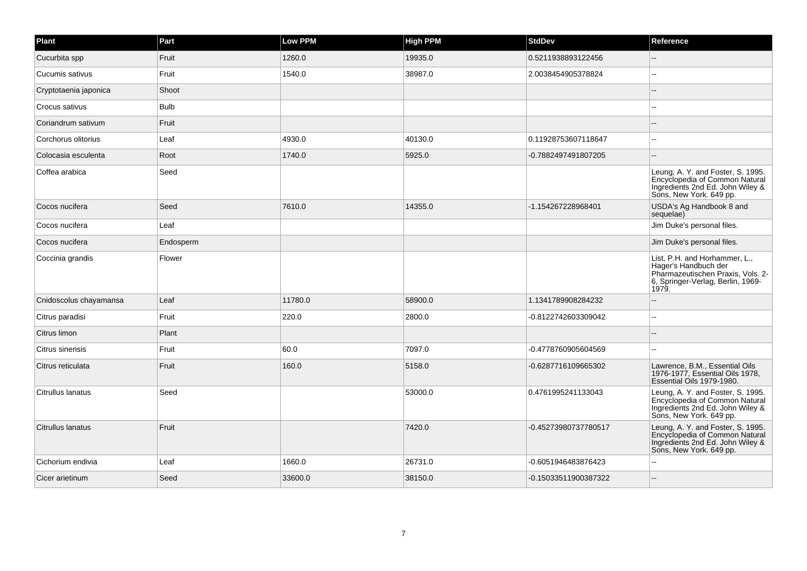| Plant                  | Part        | Low PPM | <b>High PPM</b> | <b>StdDev</b>        | Reference                                                                                                                                |
|------------------------|-------------|---------|-----------------|----------------------|------------------------------------------------------------------------------------------------------------------------------------------|
| Cucurbita spp          | Fruit       | 1260.0  | 19935.0         | 0.5211938893122456   |                                                                                                                                          |
| Cucumis sativus        | Fruit       | 1540.0  | 38987.0         | 2.0038454905378824   | ۵.                                                                                                                                       |
| Cryptotaenia japonica  | Shoot       |         |                 |                      |                                                                                                                                          |
| Crocus sativus         | <b>Bulb</b> |         |                 |                      |                                                                                                                                          |
| Coriandrum sativum     | Fruit       |         |                 |                      |                                                                                                                                          |
| Corchorus olitorius    | Leaf        | 4930.0  | 40130.0         | 0.11928753607118647  |                                                                                                                                          |
| Colocasia esculenta    | Root        | 1740.0  | 5925.0          | -0.7882497491807205  |                                                                                                                                          |
| Coffea arabica         | Seed        |         |                 |                      | Leung, A. Y. and Foster, S. 1995.<br>Encyclopedia of Common Natural<br>Ingredients 2nd Ed. John Wiley &<br>Sons, New York. 649 pp.       |
| Cocos nucifera         | Seed        | 7610.0  | 14355.0         | -1.154267228968401   | USDA's Ag Handbook 8 and<br>sequelae)                                                                                                    |
| Cocos nucifera         | Leaf        |         |                 |                      | Jim Duke's personal files.                                                                                                               |
| Cocos nucifera         | Endosperm   |         |                 |                      | Jim Duke's personal files.                                                                                                               |
| Coccinia grandis       | Flower      |         |                 |                      | List, P.H. and Horhammer, L.,<br>Hager's Handbuch der<br>Pharmazeutischen Praxis, Vols. 2-<br>6, Springer-Verlag, Berlin, 1969-<br>1979. |
| Cnidoscolus chayamansa | Leaf        | 11780.0 | 58900.0         | 1.1341789908284232   |                                                                                                                                          |
| Citrus paradisi        | Fruit       | 220.0   | 2800.0          | -0.8122742603309042  | ۵.                                                                                                                                       |
| Citrus limon           | Plant       |         |                 |                      |                                                                                                                                          |
| Citrus sinensis        | Fruit       | 60.0    | 7097.0          | -0.4778760905604569  | $-1$                                                                                                                                     |
| Citrus reticulata      | Fruit       | 160.0   | 5158.0          | -0.6287716109665302  | Lawrence, B.M., Essential Oils<br>1976-1977, Essential Oils 1978,<br>Essential Oils 1979-1980.                                           |
| Citrullus lanatus      | Seed        |         | 53000.0         | 0.4761995241133043   | Leung, A. Y. and Foster, S. 1995.<br>Encyclopedia of Common Natural<br>Ingredients 2nd Ed. John Wiley &<br>Sons, New York. 649 pp.       |
| Citrullus lanatus      | Fruit       |         | 7420.0          | -0.45273980737780517 | Leung, A. Y. and Foster, S. 1995.<br>Encyclopedia of Common Natural<br>Ingredients 2nd Ed. John Wiley &<br>Sons, New York. 649 pp.       |
| Cichorium endivia      | Leaf        | 1660.0  | 26731.0         | -0.6051946483876423  |                                                                                                                                          |
| Cicer arietinum        | Seed        | 33600.0 | 38150.0         | -0.15033511900387322 |                                                                                                                                          |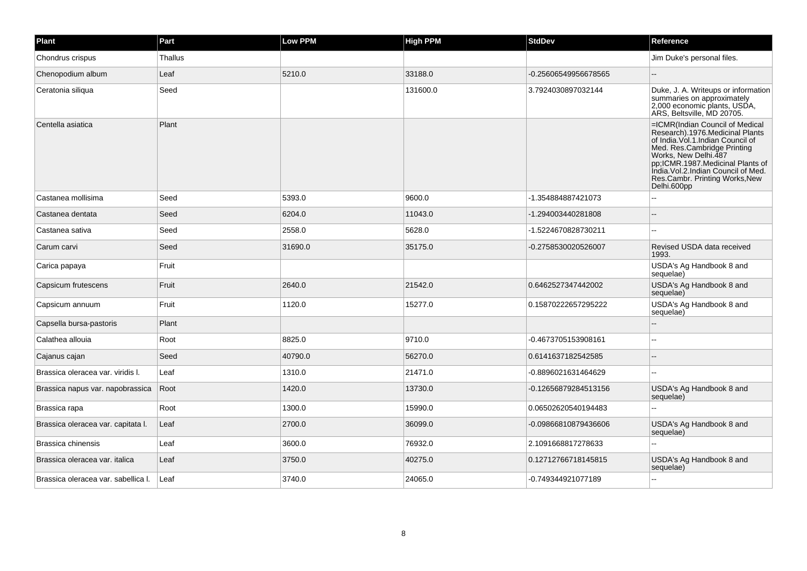| Plant                               | Part    | <b>Low PPM</b> | <b>High PPM</b> | <b>StdDev</b>        | Reference                                                                                                                                                                                                                                                                                     |
|-------------------------------------|---------|----------------|-----------------|----------------------|-----------------------------------------------------------------------------------------------------------------------------------------------------------------------------------------------------------------------------------------------------------------------------------------------|
| Chondrus crispus                    | Thallus |                |                 |                      | Jim Duke's personal files.                                                                                                                                                                                                                                                                    |
| Chenopodium album                   | Leaf    | 5210.0         | 33188.0         | -0.25606549956678565 |                                                                                                                                                                                                                                                                                               |
| Ceratonia siliqua                   | Seed    |                | 131600.0        | 3.7924030897032144   | Duke, J. A. Writeups or information<br>summaries on approximately<br>2,000 economic plants, USDA,<br>ARS, Beltsville, MD 20705.                                                                                                                                                               |
| Centella asiatica                   | Plant   |                |                 |                      | =ICMR(Indian Council of Medical<br>Research).1976.Medicinal Plants<br>of India. Vol. 1. Indian Council of<br>Med. Res.Cambridge Printing<br>Works, New Delhi.487<br>pp;ICMR.1987.Medicinal Plants of<br>India. Vol.2. Indian Council of Med.<br>Res.Cambr. Printing Works, New<br>Delhi.600pp |
| Castanea mollisima                  | Seed    | 5393.0         | 9600.0          | -1.354884887421073   |                                                                                                                                                                                                                                                                                               |
| Castanea dentata                    | Seed    | 6204.0         | 11043.0         | -1.294003440281808   |                                                                                                                                                                                                                                                                                               |
| Castanea sativa                     | Seed    | 2558.0         | 5628.0          | -1.5224670828730211  |                                                                                                                                                                                                                                                                                               |
| Carum carvi                         | Seed    | 31690.0        | 35175.0         | -0.2758530020526007  | Revised USDA data received<br>1993.                                                                                                                                                                                                                                                           |
| Carica papaya                       | Fruit   |                |                 |                      | USDA's Ag Handbook 8 and<br>sequelae)                                                                                                                                                                                                                                                         |
| Capsicum frutescens                 | Fruit   | 2640.0         | 21542.0         | 0.6462527347442002   | USDA's Ag Handbook 8 and<br>sequelae)                                                                                                                                                                                                                                                         |
| Capsicum annuum                     | Fruit   | 1120.0         | 15277.0         | 0.15870222657295222  | USDA's Ag Handbook 8 and<br>sequelae)                                                                                                                                                                                                                                                         |
| Capsella bursa-pastoris             | Plant   |                |                 |                      |                                                                                                                                                                                                                                                                                               |
| Calathea allouia                    | Root    | 8825.0         | 9710.0          | -0.4673705153908161  |                                                                                                                                                                                                                                                                                               |
| Cajanus cajan                       | Seed    | 40790.0        | 56270.0         | 0.6141637182542585   |                                                                                                                                                                                                                                                                                               |
| Brassica oleracea var. viridis I.   | Leaf    | 1310.0         | 21471.0         | -0.8896021631464629  | --                                                                                                                                                                                                                                                                                            |
| Brassica napus var. napobrassica    | Root    | 1420.0         | 13730.0         | -0.12656879284513156 | USDA's Ag Handbook 8 and<br>sequelae)                                                                                                                                                                                                                                                         |
| Brassica rapa                       | Root    | 1300.0         | 15990.0         | 0.06502620540194483  |                                                                                                                                                                                                                                                                                               |
| Brassica oleracea var. capitata I.  | Leaf    | 2700.0         | 36099.0         | -0.09866810879436606 | USDA's Ag Handbook 8 and<br>sequelae)                                                                                                                                                                                                                                                         |
| Brassica chinensis                  | Leaf    | 3600.0         | 76932.0         | 2.1091668817278633   |                                                                                                                                                                                                                                                                                               |
| Brassica oleracea var. italica      | Leaf    | 3750.0         | 40275.0         | 0.12712766718145815  | USDA's Ag Handbook 8 and<br>sequelae)                                                                                                                                                                                                                                                         |
| Brassica oleracea var. sabellica l. | Leaf    | 3740.0         | 24065.0         | -0.749344921077189   |                                                                                                                                                                                                                                                                                               |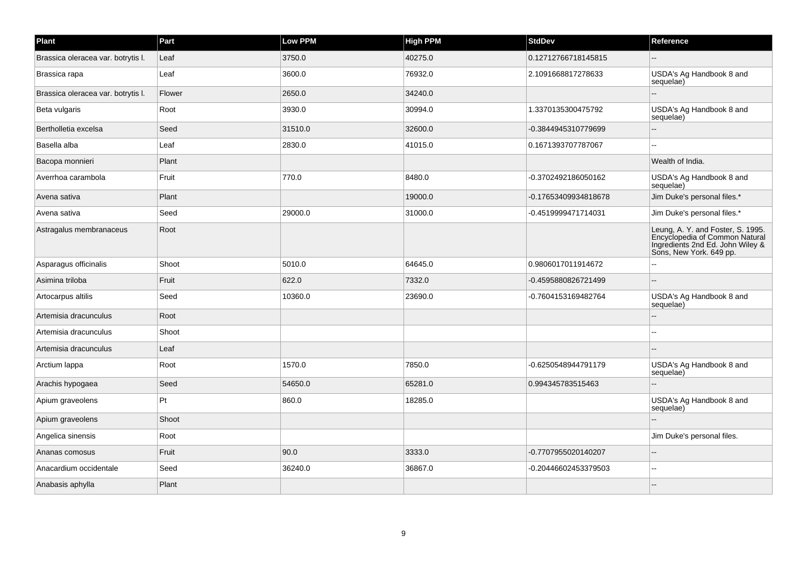| Plant                              | Part   | Low PPM | <b>High PPM</b> | <b>StdDev</b>        | Reference                                                                                                                          |
|------------------------------------|--------|---------|-----------------|----------------------|------------------------------------------------------------------------------------------------------------------------------------|
| Brassica oleracea var. botrytis I. | Leaf   | 3750.0  | 40275.0         | 0.12712766718145815  |                                                                                                                                    |
| Brassica rapa                      | Leaf   | 3600.0  | 76932.0         | 2.1091668817278633   | USDA's Ag Handbook 8 and<br>sequelae)                                                                                              |
| Brassica oleracea var. botrytis I. | Flower | 2650.0  | 34240.0         |                      |                                                                                                                                    |
| Beta vulgaris                      | Root   | 3930.0  | 30994.0         | 1.3370135300475792   | USDA's Ag Handbook 8 and<br>sequelae)                                                                                              |
| Bertholletia excelsa               | Seed   | 31510.0 | 32600.0         | -0.3844945310779699  | 44                                                                                                                                 |
| Basella alba                       | Leaf   | 2830.0  | 41015.0         | 0.1671393707787067   | $\sim$                                                                                                                             |
| Bacopa monnieri                    | Plant  |         |                 |                      | Wealth of India.                                                                                                                   |
| Averrhoa carambola                 | Fruit  | 770.0   | 8480.0          | -0.3702492186050162  | USDA's Ag Handbook 8 and<br>sequelae)                                                                                              |
| Avena sativa                       | Plant  |         | 19000.0         | -0.17653409934818678 | Jim Duke's personal files.*                                                                                                        |
| Avena sativa                       | Seed   | 29000.0 | 31000.0         | -0.4519999471714031  | Jim Duke's personal files.*                                                                                                        |
| Astragalus membranaceus            | Root   |         |                 |                      | Leung, A. Y. and Foster, S. 1995.<br>Encyclopedia of Common Natural<br>Ingredients 2nd Ed. John Wiley &<br>Sons, New York. 649 pp. |
| Asparagus officinalis              | Shoot  | 5010.0  | 64645.0         | 0.9806017011914672   |                                                                                                                                    |
| Asimina triloba                    | Fruit  | 622.0   | 7332.0          | -0.4595880826721499  | $\sim$                                                                                                                             |
| Artocarpus altilis                 | Seed   | 10360.0 | 23690.0         | -0.7604153169482764  | USDA's Ag Handbook 8 and<br>sequelae)                                                                                              |
| Artemisia dracunculus              | Root   |         |                 |                      |                                                                                                                                    |
| Artemisia dracunculus              | Shoot  |         |                 |                      |                                                                                                                                    |
| Artemisia dracunculus              | Leaf   |         |                 |                      |                                                                                                                                    |
| Arctium lappa                      | Root   | 1570.0  | 7850.0          | -0.6250548944791179  | USDA's Ag Handbook 8 and<br>sequelae)                                                                                              |
| Arachis hypogaea                   | Seed   | 54650.0 | 65281.0         | 0.994345783515463    |                                                                                                                                    |
| Apium graveolens                   | Pt     | 860.0   | 18285.0         |                      | USDA's Ag Handbook 8 and<br>sequelae)                                                                                              |
| Apium graveolens                   | Shoot  |         |                 |                      |                                                                                                                                    |
| Angelica sinensis                  | Root   |         |                 |                      | Jim Duke's personal files.                                                                                                         |
| Ananas comosus                     | Fruit  | 90.0    | 3333.0          | -0.7707955020140207  | $\sim$                                                                                                                             |
| Anacardium occidentale             | Seed   | 36240.0 | 36867.0         | -0.20446602453379503 | --                                                                                                                                 |
| Anabasis aphylla                   | Plant  |         |                 |                      |                                                                                                                                    |